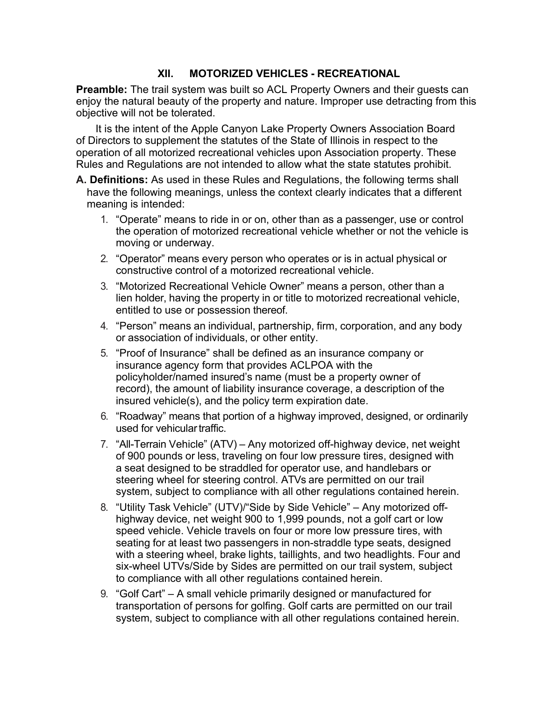# **XII. MOTORIZED VEHICLES - RECREATIONAL**

**Preamble:** The trail system was built so ACL Property Owners and their guests can enjoy the natural beauty of the property and nature. Improper use detracting from this objective will not be tolerated.

It is the intent of the Apple Canyon Lake Property Owners Association Board of Directors to supplement the statutes of the State of Illinois in respect to the operation of all motorized recreational vehicles upon Association property. These Rules and Regulations are not intended to allow what the state statutes prohibit.

- **A. Definitions:** As used in these Rules and Regulations, the following terms shall have the following meanings, unless the context clearly indicates that a different meaning is intended:
	- 1. "Operate" means to ride in or on, other than as a passenger, use or control the operation of motorized recreational vehicle whether or not the vehicle is moving or underway.
	- 2. "Operator" means every person who operates or is in actual physical or constructive control of a motorized recreational vehicle.
	- 3. "Motorized Recreational Vehicle Owner" means a person, other than a lien holder, having the property in or title to motorized recreational vehicle, entitled to use or possession thereof.
	- 4. "Person" means an individual, partnership, firm, corporation, and any body or association of individuals, or other entity.
	- 5. "Proof of Insurance" shall be defined as an insurance company or insurance agency form that provides ACLPOA with the policyholder/named insured's name (must be a property owner of record), the amount of liability insurance coverage, a description of the insured vehicle(s), and the policy term expiration date.
	- 6. "Roadway" means that portion of a highway improved, designed, or ordinarily used for vehicular traffic.
	- 7. "All-Terrain Vehicle" (ATV) Any motorized off-highway device, net weight of 900 pounds or less, traveling on four low pressure tires, designed with a seat designed to be straddled for operator use, and handlebars or steering wheel for steering control. ATVs are permitted on our trail system, subject to compliance with all other regulations contained herein.
	- 8. "Utility Task Vehicle" (UTV)/"Side by Side Vehicle" Any motorized offhighway device, net weight 900 to 1,999 pounds, not a golf cart or low speed vehicle. Vehicle travels on four or more low pressure tires, with seating for at least two passengers in non-straddle type seats, designed with a steering wheel, brake lights, taillights, and two headlights. Four and six-wheel UTVs/Side by Sides are permitted on our trail system, subject to compliance with all other regulations contained herein.
	- 9. "Golf Cart" A small vehicle primarily designed or manufactured for transportation of persons for golfing. Golf carts are permitted on our trail system, subject to compliance with all other regulations contained herein.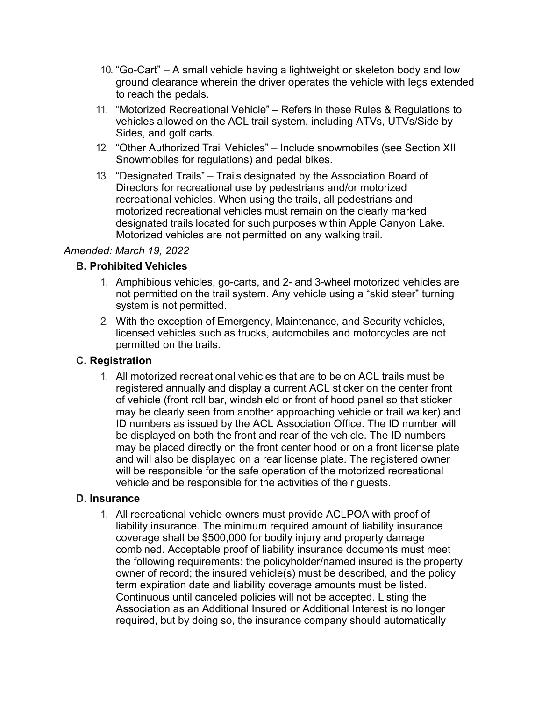- 10. "Go-Cart" A small vehicle having a lightweight or skeleton body and low ground clearance wherein the driver operates the vehicle with legs extended to reach the pedals.
- 11. "Motorized Recreational Vehicle" Refers in these Rules & Regulations to vehicles allowed on the ACL trail system, including ATVs, UTVs/Side by Sides, and golf carts.
- 12. "Other Authorized Trail Vehicles" Include snowmobiles (see Section XII Snowmobiles for regulations) and pedal bikes.
- 13. "Designated Trails" Trails designated by the Association Board of Directors for recreational use by pedestrians and/or motorized recreational vehicles. When using the trails, all pedestrians and motorized recreational vehicles must remain on the clearly marked designated trails located for such purposes within Apple Canyon Lake. Motorized vehicles are not permitted on any walking trail.

#### *Amended: March 19, 2022*

#### **B. Prohibited Vehicles**

- 1. Amphibious vehicles, go-carts, and 2- and 3-wheel motorized vehicles are not permitted on the trail system. Any vehicle using a "skid steer" turning system is not permitted.
- 2. With the exception of Emergency, Maintenance, and Security vehicles, licensed vehicles such as trucks, automobiles and motorcycles are not permitted on the trails.

#### **C. Registration**

1. All motorized recreational vehicles that are to be on ACL trails must be registered annually and display a current ACL sticker on the center front of vehicle (front roll bar, windshield or front of hood panel so that sticker may be clearly seen from another approaching vehicle or trail walker) and ID numbers as issued by the ACL Association Office. The ID number will be displayed on both the front and rear of the vehicle. The ID numbers may be placed directly on the front center hood or on a front license plate and will also be displayed on a rear license plate. The registered owner will be responsible for the safe operation of the motorized recreational vehicle and be responsible for the activities of their guests.

#### **D. Insurance**

1. All recreational vehicle owners must provide ACLPOA with proof of liability insurance. The minimum required amount of liability insurance coverage shall be \$500,000 for bodily injury and property damage combined. Acceptable proof of liability insurance documents must meet the following requirements: the policyholder/named insured is the property owner of record; the insured vehicle(s) must be described, and the policy term expiration date and liability coverage amounts must be listed. Continuous until canceled policies will not be accepted. Listing the Association as an Additional Insured or Additional Interest is no longer required, but by doing so, the insurance company should automatically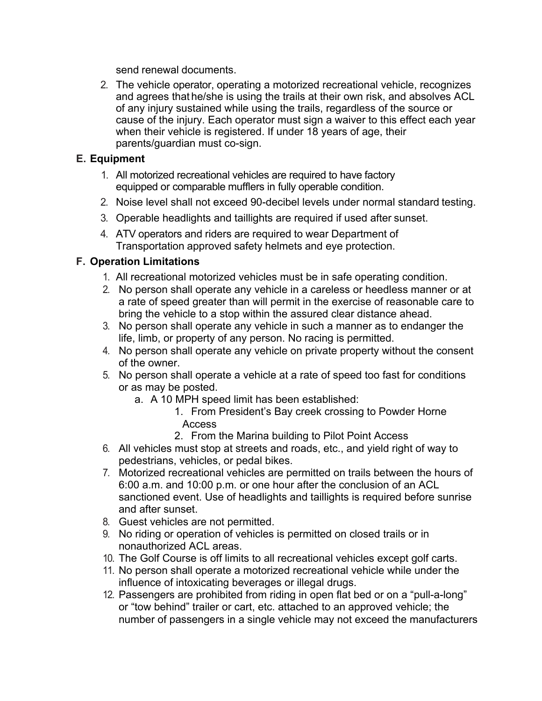send renewal documents.

2. The vehicle operator, operating a motorized recreational vehicle, recognizes and agrees that he/she is using the trails at their own risk, and absolves ACL of any injury sustained while using the trails, regardless of the source or cause of the injury. Each operator must sign a waiver to this effect each year when their vehicle is registered. If under 18 years of age, their parents/guardian must co-sign.

# **E. Equipment**

- 1. All motorized recreational vehicles are required to have factory equipped or comparable mufflers in fully operable condition.
- 2. Noise level shall not exceed 90-decibel levels under normal standard testing.
- 3. Operable headlights and taillights are required if used after sunset.
- 4. ATV operators and riders are required to wear Department of Transportation approved safety helmets and eye protection.

## **F. Operation Limitations**

- 1. All recreational motorized vehicles must be in safe operating condition.
- 2. No person shall operate any vehicle in a careless or heedless manner or at a rate of speed greater than will permit in the exercise of reasonable care to bring the vehicle to a stop within the assured clear distance ahead.
- 3. No person shall operate any vehicle in such a manner as to endanger the life, limb, or property of any person. No racing is permitted.
- 4. No person shall operate any vehicle on private property without the consent of the owner.
- 5. No person shall operate a vehicle at a rate of speed too fast for conditions or as may be posted.
	- a. A 10 MPH speed limit has been established:
		- 1. From President's Bay creek crossing to Powder Horne Access
		- 2. From the Marina building to Pilot Point Access
- 6. All vehicles must stop at streets and roads, etc., and yield right of way to pedestrians, vehicles, or pedal bikes.
- 7. Motorized recreational vehicles are permitted on trails between the hours of 6:00 a.m. and 10:00 p.m. or one hour after the conclusion of an ACL sanctioned event. Use of headlights and taillights is required before sunrise and after sunset.
- 8. Guest vehicles are not permitted.
- 9. No riding or operation of vehicles is permitted on closed trails or in nonauthorized ACL areas.
- 10. The Golf Course is off limits to all recreational vehicles except golf carts.
- 11. No person shall operate a motorized recreational vehicle while under the influence of intoxicating beverages or illegal drugs.
- 12. Passengers are prohibited from riding in open flat bed or on a "pull-a-long" or "tow behind" trailer or cart, etc. attached to an approved vehicle; the number of passengers in a single vehicle may not exceed the manufacturers